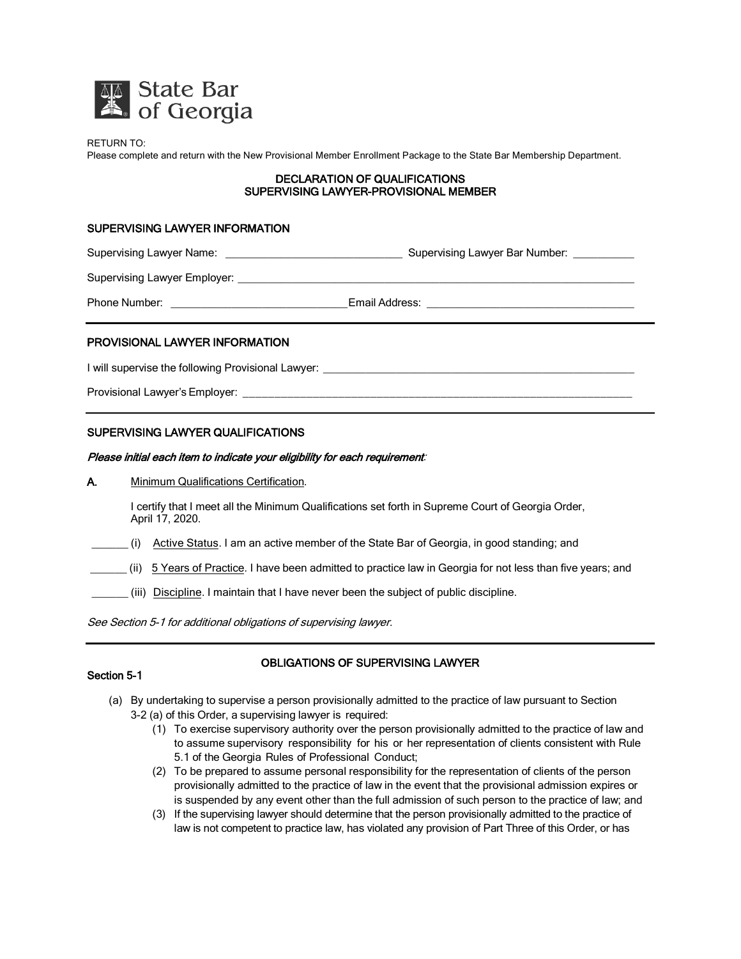

RETURN TO:

Please complete and return with the New Provisional Member Enrollment Package to the State Bar Membership Department.

### DECLARATION OF QUALIFICATIONS SUPERVISING LAWYER-PROVISIONAL MEMBER

### SUPERVISING LAWYER INFORMATION

| Supervising Lawyer Name: Supervising Lawyer Name: | Supervising Lawyer Bar Number: __________ |
|---------------------------------------------------|-------------------------------------------|
|                                                   |                                           |
|                                                   |                                           |
| <b>PROVISIONAL LAWYER INFORMATION</b>             |                                           |

I will supervise the following Provisional Lawyer:

Provisional Lawyer's Employer: \_

## SUPERVISING LAWYER QUALIFICATIONS

#### Please initial each item to indicate your eligibility for each requirement:

A. Minimum Qualifications Certification.

I certify that I meet all the Minimum Qualifications set forth in Supreme Court of Georgia Order, April 17, 2020.

\_\_\_\_\_\_ (i) Active Status. I am an active member of the State Bar of Georgia, in good standing; and

\_\_\_\_\_\_ (ii) 5 Years of Practice. I have been admitted to practice law in Georgia for not less than five years; and

(iii) Discipline. I maintain that I have never been the subject of public discipline.

See Section 5-1 for additional obligations of supervising lawyer.

# Section 5-1

# OBLIGATIONS OF SUPERVISING LAWYER

- (a) By undertaking to supervise a person provisionally admitted to the practice of law pursuant to Section 3-2 (a) of this Order, a supervising lawyer is required:
	- (1) To exercise supervisory authority over the person provisionally admitted to the practice of law and to assume supervisory responsibility for his or her representation of clients consistent with Rule 5.1 of the Georgia Rules of Professional Conduct;
	- (2) To be prepared to assume personal responsibility for the representation of clients of the person provisionally admitted to the practice of law in the event that the provisional admission expires or is suspended by any event other than the full admission of such person to the practice of law; and
	- (3) If the supervising lawyer should determine that the person provisionally admitted to the practice of law is not competent to practice law, has violated any provision of Part Three of this Order, or has